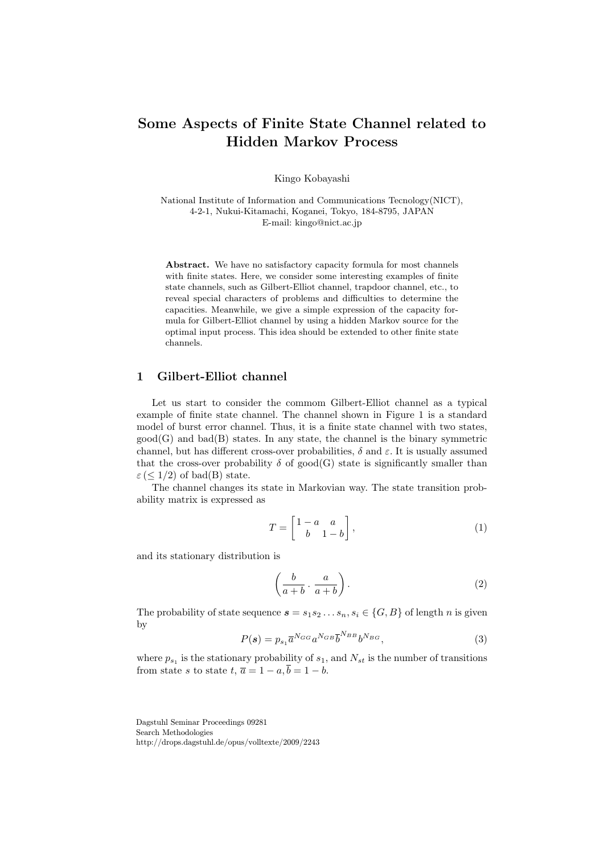# **Some Aspects of Finite State Channel related to Hidden Markov Process**

Kingo Kobayashi

National Institute of Information and Communications Tecnology(NICT), 4-2-1, Nukui-Kitamachi, Koganei, Tokyo, 184-8795, JAPAN E-mail: kingo@nict.ac.jp

**Abstract.** We have no satisfactory capacity formula for most channels with finite states. Here, we consider some interesting examples of finite state channels, such as Gilbert-Elliot channel, trapdoor channel, etc., to reveal special characters of problems and difficulties to determine the capacities. Meanwhile, we give a simple expression of the capacity formula for Gilbert-Elliot channel by using a hidden Markov source for the optimal input process. This idea should be extended to other finite state channels.

# **1 Gilbert-Elliot channel**

Let us start to consider the commom Gilbert-Elliot channel as a typical example of finite state channel. The channel shown in Figure 1 is a standard model of burst error channel. Thus, it is a finite state channel with two states,  $\text{good}(G)$  and  $\text{bad}(B)$  states. In any state, the channel is the binary symmetric channel, but has different cross-over probabilities,  $\delta$  and  $\varepsilon$ . It is usually assumed that the cross-over probability  $\delta$  of good(G) state is significantly smaller than  $\varepsilon$  ( $\leq$  1/2) of bad(B) state.

The channel changes its state in Markovian way. The state transition probability matrix is expressed as

$$
T = \begin{bmatrix} 1 - a & a \\ b & 1 - b \end{bmatrix}, \tag{1}
$$

and its stationary distribution is

$$
\left(\frac{b}{a+b}\cdot\frac{a}{a+b}\right). \tag{2}
$$

The probability of state sequence  $s = s_1 s_2 \dots s_n$ ,  $s_i \in \{G, B\}$  of length *n* is given by

$$
P(s) = p_{s_1} \overline{a}^{N_{GG}} a^{N_{GB}} \overline{b}^{N_{BB}} b^{N_{BG}},
$$
\n(3)

where  $p_{s_1}$  is the stationary probability of  $s_1$ , and  $N_{st}$  is the number of transitions from state *s* to state  $t$ ,  $\overline{a} = 1 - a$ ,  $\overline{b} = 1 - b$ .

Dagstuhl Seminar Proceedings 09281 Search Methodologies http://drops.dagstuhl.de/opus/volltexte/2009/2243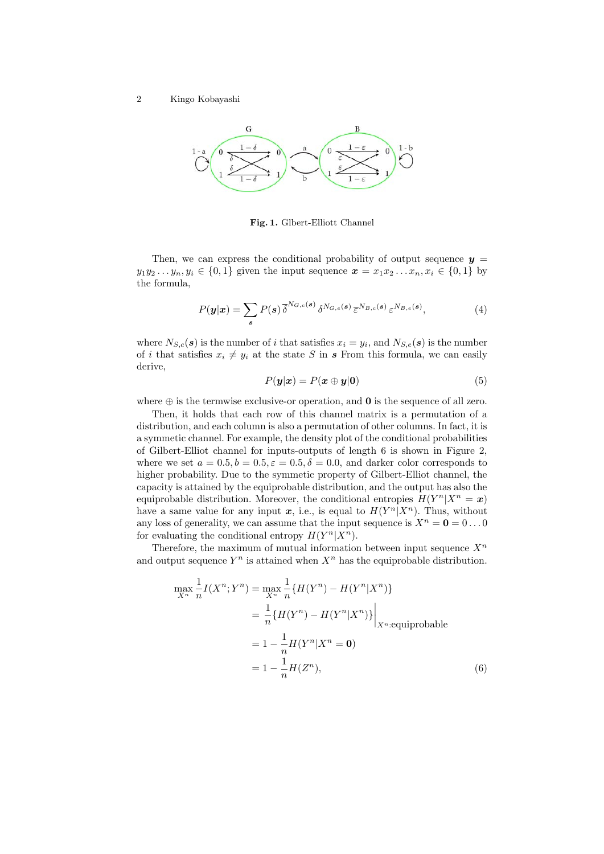

**Fig. 1.** Glbert-Elliott Channel

Then, we can express the conditional probability of output sequence  $y =$ *y*<sub>1</sub>*y*<sub>2</sub> . . . *y<sub>n</sub>, y<sub>i</sub>*  $\in$  {0*,* 1} given the input sequence  $\boldsymbol{x} = x_1 x_2 \dots x_n, x_i \in$  {0*,* 1} by the formula,

$$
P(\mathbf{y}|\mathbf{x}) = \sum_{\mathbf{s}} P(\mathbf{s}) \, \overline{\delta}^{N_{G,c}(\mathbf{s})} \, \delta^{N_{G,e}(\mathbf{s})} \, \overline{\varepsilon}^{N_{B,c}(\mathbf{s})} \, \varepsilon^{N_{B,e}(\mathbf{s})}, \tag{4}
$$

where  $N_{S,c}(\boldsymbol{s})$  is the number of *i* that satisfies  $x_i = y_i$ , and  $N_{S,e}(\boldsymbol{s})$  is the number of *i* that satisfies  $x_i \neq y_i$  at the state *S* in *s* From this formula, we can easily derive,

$$
P(\mathbf{y}|\mathbf{x}) = P(\mathbf{x} \oplus \mathbf{y}|\mathbf{0})\tag{5}
$$

where *⊕* is the termwise exclusive-or operation, and **0** is the sequence of all zero.

Then, it holds that each row of this channel matrix is a permutation of a distribution, and each column is also a permutation of other columns. In fact, it is a symmetic channel. For example, the density plot of the conditional probabilities of Gilbert-Elliot channel for inputs-outputs of length 6 is shown in Figure 2, where we set  $a = 0.5, b = 0.5, \varepsilon = 0.5, \delta = 0.0$ , and darker color corresponds to higher probability. Due to the symmetic property of Gilbert-Elliot channel, the capacity is attained by the equiprobable distribution, and the output has also the equiprobable distribution. Moreover, the conditional entropies  $H(Y^n | X^n = x)$ have a same value for any input  $x$ , i.e., is equal to  $H(Y^n|X^n)$ . Thus, without any loss of generality, we can assume that the input sequence is  $X^n = \mathbf{0} = 0 \dots 0$ for evaluating the conditional entropy  $H(Y^n | X^n)$ .

Therefore, the maximum of mutual information between input sequence  $X^n$ and output sequence  $Y^n$  is attained when  $X^n$  has the equiprobable distribution.

$$
\max_{X^n} \frac{1}{n} I(X^n; Y^n) = \max_{X^n} \frac{1}{n} \{ H(Y^n) - H(Y^n | X^n) \}
$$
  
=  $\frac{1}{n} \{ H(Y^n) - H(Y^n | X^n) \} \Big|_{X^n : \text{equiprobable}}$   
=  $1 - \frac{1}{n} H(Y^n | X^n = 0)$   
=  $1 - \frac{1}{n} H(Z^n),$  (6)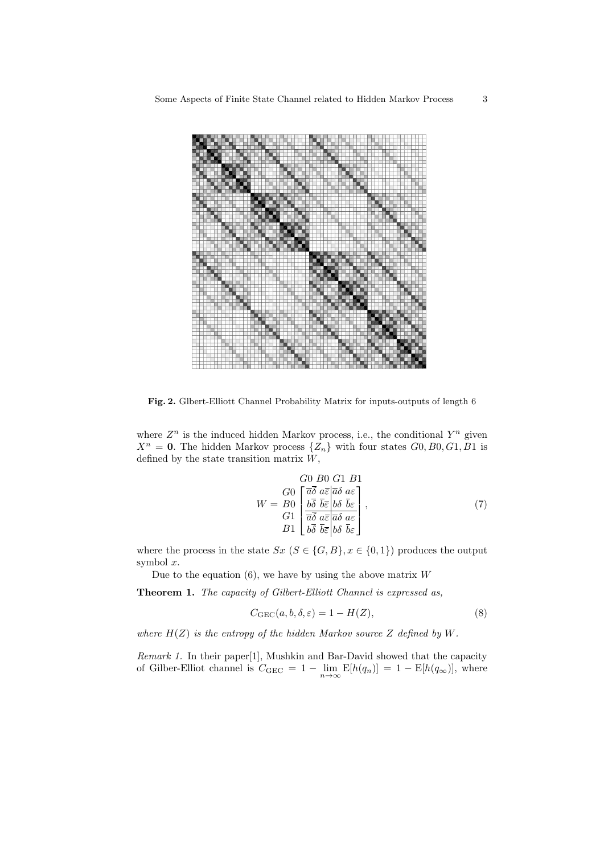

**Fig. 2.** Glbert-Elliott Channel Probability Matrix for inputs-outputs of length 6

where  $Z^n$  is the induced hidden Markov process, i.e., the conditional  $Y^n$  given  $X^n = 0$ . The hidden Markov process  $\{Z_n\}$  with four states  $G_0, B_0, G_1, B_1$  is defined by the state transition matrix *W*,

$$
W = \begin{bmatrix} G0 & B0 & G1 & B1 \\ G0 & \boxed{\bar{a}\bar{\delta}} & a\bar{\varepsilon} & \bar{a}\delta & a\varepsilon \\ b\bar{\delta} & \overline{b}\bar{\varepsilon} & b\delta & \overline{b}\varepsilon \\ G1 & \boxed{\bar{a}\bar{\delta}} & a\bar{\varepsilon} & \overline{a}\delta & a\varepsilon \\ B1 & \boxed{b\bar{\delta}} & \overline{b}\bar{\varepsilon} & b\delta & \overline{b}\varepsilon \end{bmatrix},\tag{7}
$$

where the process in the state  $Sx$  ( $S \in \{G, B\}$ ,  $x \in \{0, 1\}$ ) produces the output symbol *x*.

Due to the equation (6), we have by using the above matrix *W*

**Theorem 1.** *The capacity of Gilbert-Elliott Channel is expressed as,*

$$
C_{\text{GEC}}(a, b, \delta, \varepsilon) = 1 - H(Z),\tag{8}
$$

*where H*(*Z*) *is the entropy of the hidden Markov source Z defined by W.*

*Remark 1.* In their paper[1], Mushkin and Bar-David showed that the capacity of Gilber-Elliot channel is  $C_{\text{GEC}} = 1 - \lim_{n \to \infty} E[h(q_n)] = 1 - E[h(q_\infty)]$ , where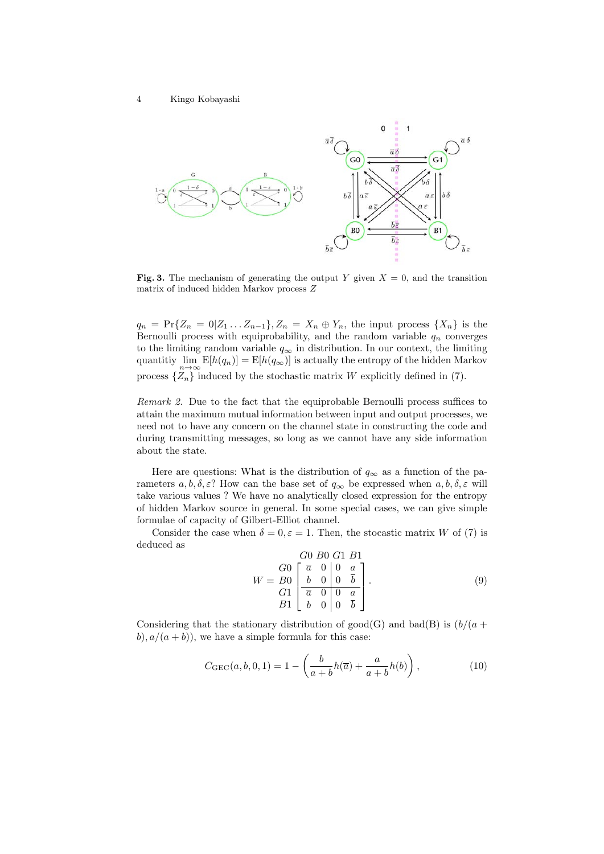

**Fig. 3.** The mechanism of generating the output *Y* given  $X = 0$ , and the transition matrix of induced hidden Markov process *Z*

 $q_n = \Pr\{Z_n = 0 | Z_1 ... Z_{n-1}\}, Z_n = X_n \oplus Y_n$ , the input process  $\{X_n\}$  is the Bernoulli process with equiprobability, and the random variable *q<sup>n</sup>* converges to the limiting random variable  $q_{\infty}$  in distribution. In our context, the limiting quantitiy  $\lim_{n\to\infty} E[h(q_n)] = E[h(q_\infty)]$  is actually the entropy of the hidden Markov process  $\{Z_n\}$  induced by the stochastic matrix *W* explicitly defined in (7).

*Remark 2.* Due to the fact that the equiprobable Bernoulli process suffices to attain the maximum mutual information between input and output processes, we need not to have any concern on the channel state in constructing the code and during transmitting messages, so long as we cannot have any side information about the state.

Here are questions: What is the distribution of  $q_{\infty}$  as a function of the parameters  $a, b, \delta, \varepsilon$ ? How can the base set of  $q_\infty$  be expressed when  $a, b, \delta, \varepsilon$  will take various values ? We have no analytically closed expression for the entropy of hidden Markov source in general. In some special cases, we can give simple formulae of capacity of Gilbert-Elliot channel.

Consider the case when  $\delta = 0, \varepsilon = 1$ . Then, the stocastic matrix *W* of (7) is deduced as

$$
W = \frac{G0}{B0} \begin{bmatrix} G0 & B0 & G1 & B1 \\ \frac{\bar{a}}{a} & 0 & 0 & a \\ \frac{\bar{b}}{a} & 0 & 0 & \frac{\bar{b}}{b} \\ B1 & b & 0 & 0 & \frac{\bar{a}}{b} \end{bmatrix} . \tag{9}
$$

Considering that the stationary distribution of  $\text{good}(G)$  and  $\text{bad}(B)$  is  $(b/(a +$  $b$ ,  $a/(a + b)$ , we have a simple formula for this case:

$$
C_{\text{GEC}}(a, b, 0, 1) = 1 - \left(\frac{b}{a+b}h(\overline{a}) + \frac{a}{a+b}h(b)\right),
$$
 (10)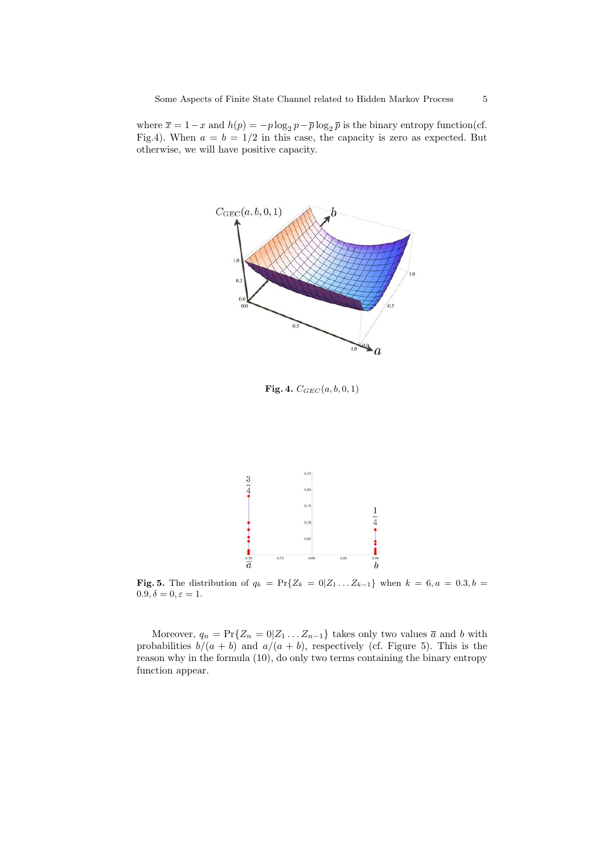where  $\bar{x} = 1 - x$  and  $h(p) = -p \log_2 p - \bar{p} \log_2 \bar{p}$  is the binary entropy function(cf. Fig.4). When  $a = b = 1/2$  in this case, the capacity is zero as expected. But otherwise, we will have positive capacity.



**Fig.** 4.  $C_{GEC}(a, b, 0, 1)$ 



**Fig.** 5. The distribution of  $q_k = \Pr{Z_k = 0 | Z_1 ... Z_{k-1}}$  when  $k = 6, a = 0.3, b = 0.1$  $0.9, \delta = 0, \varepsilon = 1.$ 

Moreover,  $q_n = \Pr\{Z_n = 0 | Z_1 \dots Z_{n-1}\}$  takes only two values  $\bar{a}$  and *b* with probabilities  $b/(a + b)$  and  $a/(a + b)$ , respectively (cf. Figure 5). This is the reason why in the formula (10), do only two terms containing the binary entropy function appear.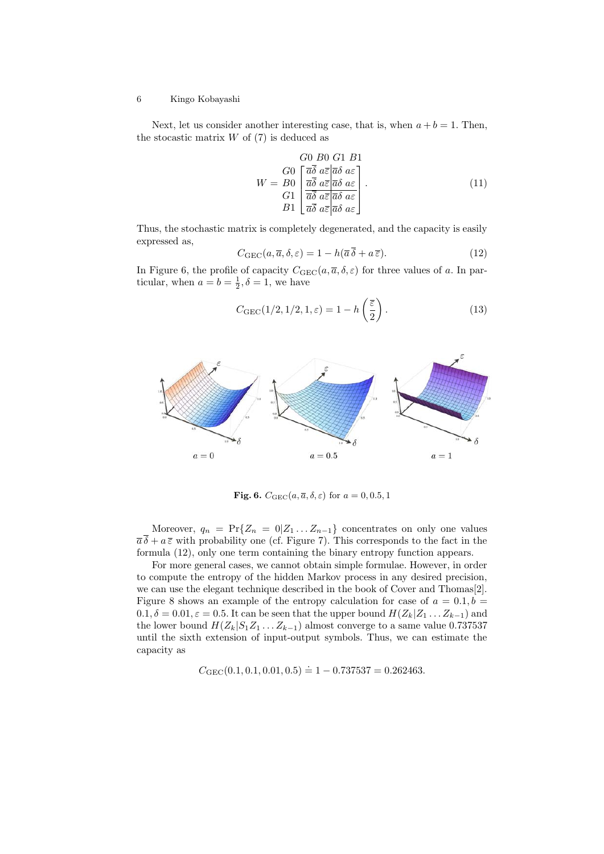Next, let us consider another interesting case, that is, when  $a + b = 1$ . Then, the stocastic matrix  $W$  of  $(7)$  is deduced as

$$
G0 \quad B0 \quad G1 \quad B1
$$
\n
$$
W = B0 \begin{bmatrix} \overline{a}\overline{\delta} & a\overline{\varepsilon} & \overline{a}\delta & a\varepsilon \\ \overline{a}\overline{\delta} & a\overline{\varepsilon} & \overline{a}\delta & a\varepsilon \\ \overline{a}\overline{\delta} & a\overline{\varepsilon} & \overline{a}\delta & a\varepsilon \\ B1 \end{bmatrix} . \tag{11}
$$

Thus, the stochastic matrix is completely degenerated, and the capacity is easily expressed as,

$$
C_{\text{GEC}}(a,\overline{a},\delta,\varepsilon) = 1 - h(\overline{a}\,\overline{\delta} + a\,\overline{\varepsilon}).\tag{12}
$$

In Figure 6, the profile of capacity  $C_{\text{GEC}}(a, \overline{a}, \delta, \varepsilon)$  for three values of *a*. In particular, when  $a = b = \frac{1}{2}, \delta = 1$ , we have

$$
C_{\text{GEC}}(1/2, 1/2, 1, \varepsilon) = 1 - h\left(\frac{\overline{\varepsilon}}{2}\right). \tag{13}
$$



**Fig. 6.**  $C_{\text{GEC}}(a, \overline{a}, \delta, \varepsilon)$  for  $a = 0, 0.5, 1$ 

Moreover,  $q_n = \Pr{Z_n = 0 | Z_1 ... Z_{n-1}}$  concentrates on only one values  $\overline{a}\overline{\delta} + a\overline{\epsilon}$  with probability one (cf. Figure 7). This corresponds to the fact in the formula (12), only one term containing the binary entropy function appears.

For more general cases, we cannot obtain simple formulae. However, in order to compute the entropy of the hidden Markov process in any desired precision, we can use the elegant technique described in the book of Cover and Thomas[2]. Figure 8 shows an example of the entropy calculation for case of  $a = 0.1, b =$  $0.1, \delta = 0.01, \varepsilon = 0.5$ . It can be seen that the upper bound  $H(Z_k|Z_1 \ldots Z_{k-1})$  and the lower bound  $H(Z_k|S_1Z_1 \ldots Z_{k-1})$  almost converge to a same value 0.737537 until the sixth extension of input-output symbols. Thus, we can estimate the capacity as

 $C_{GEC}(0.1, 0.1, 0.01, 0.5) \doteq 1 - 0.737537 = 0.262463.$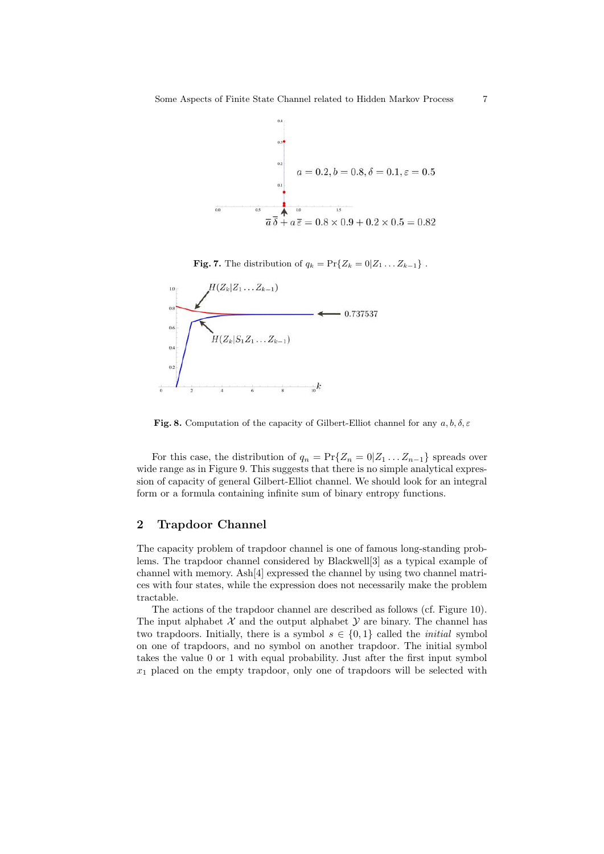

**Fig. 7.** The distribution of  $q_k = \Pr{Z_k = 0 | Z_1 \dots Z_{k-1}}$ .



**Fig. 8.** Computation of the capacity of Gilbert-Elliot channel for any *a, b, δ, ε*

For this case, the distribution of  $q_n = \Pr\{Z_n = 0 | Z_1 \dots Z_{n-1}\}$  spreads over wide range as in Figure 9. This suggests that there is no simple analytical expression of capacity of general Gilbert-Elliot channel. We should look for an integral form or a formula containing infinite sum of binary entropy functions.

### **2 Trapdoor Channel**

The capacity problem of trapdoor channel is one of famous long-standing problems. The trapdoor channel considered by Blackwell[3] as a typical example of channel with memory. Ash[4] expressed the channel by using two channel matrices with four states, while the expression does not necessarily make the problem tractable.

The actions of the trapdoor channel are described as follows (cf. Figure 10). The input alphabet  $\mathcal X$  and the output alphabet  $\mathcal Y$  are binary. The channel has two trapdoors. Initially, there is a symbol  $s \in \{0,1\}$  called the *initial* symbol on one of trapdoors, and no symbol on another trapdoor. The initial symbol takes the value 0 or 1 with equal probability. Just after the first input symbol *x*<sup>1</sup> placed on the empty trapdoor, only one of trapdoors will be selected with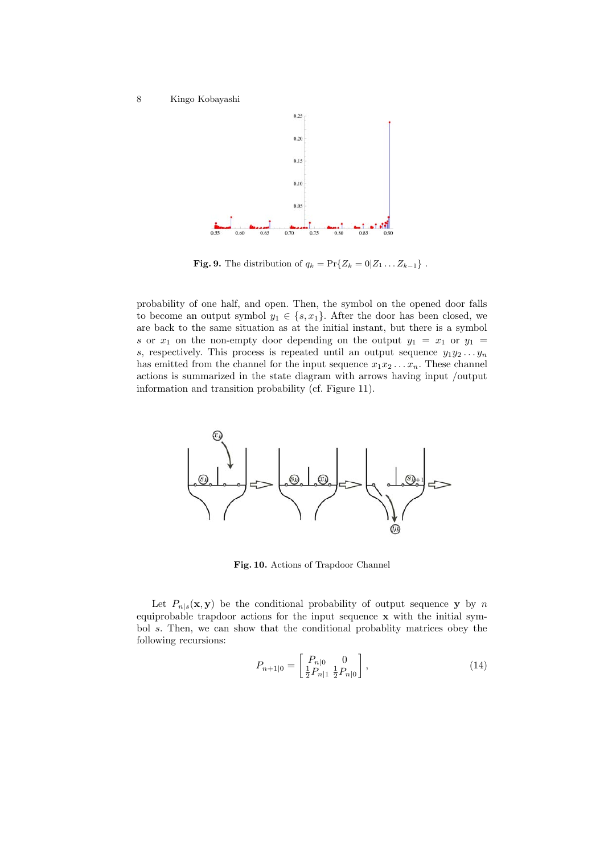

**Fig.** 9. The distribution of  $q_k = \Pr{Z_k = 0 | Z_1 \dots Z_{k-1}}$ .

probability of one half, and open. Then, the symbol on the opened door falls to become an output symbol  $y_1 \in \{s, x_1\}$ . After the door has been closed, we are back to the same situation as at the initial instant, but there is a symbol *s* or  $x_1$  on the non-empty door depending on the output  $y_1 = x_1$  or  $y_1 = x_2$ *s*, respectively. This process is repeated until an output sequence  $y_1y_2 \ldots y_n$ has emitted from the channel for the input sequence  $x_1x_2 \ldots x_n$ . These channel actions is summarized in the state diagram with arrows having input /output information and transition probability (cf. Figure 11).



**Fig. 10.** Actions of Trapdoor Channel

Let  $P_{n|s}(\mathbf{x}, \mathbf{y})$  be the conditional probability of output sequence **y** by *n* equiprobable trapdoor actions for the input sequence **x** with the initial symbol *s*. Then, we can show that the conditional probablity matrices obey the following recursions:

$$
P_{n+1|0} = \begin{bmatrix} P_{n|0} & 0\\ \frac{1}{2}P_{n|1} & \frac{1}{2}P_{n|0} \end{bmatrix},\tag{14}
$$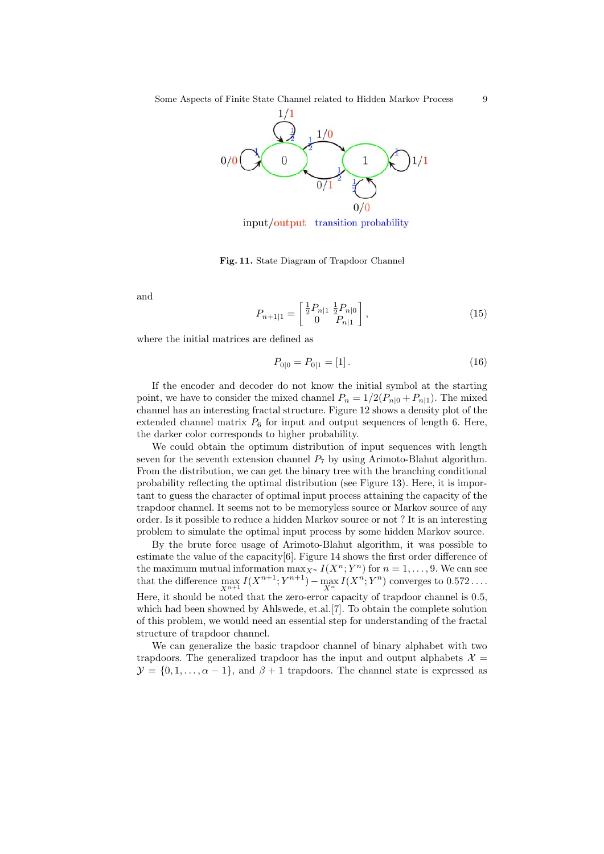

input/output transition probability

**Fig. 11.** State Diagram of Trapdoor Channel

and

$$
P_{n+1|1} = \begin{bmatrix} \frac{1}{2} P_{n|1} & \frac{1}{2} P_{n|0} \\ 0 & P_{n|1} \end{bmatrix},\tag{15}
$$

where the initial matrices are defined as

$$
P_{0|0} = P_{0|1} = [1]. \tag{16}
$$

If the encoder and decoder do not know the initial symbol at the starting point, we have to consider the mixed channel  $P_n = 1/2(P_{n|0} + P_{n|1})$ . The mixed channel has an interesting fractal structure. Figure 12 shows a density plot of the extended channel matrix  $P_6$  for input and output sequences of length 6. Here, the darker color corresponds to higher probability.

We could obtain the optimum distribution of input sequences with length seven for the seventh extension channel  $P_7$  by using Arimoto-Blahut algorithm. From the distribution, we can get the binary tree with the branching conditional probability reflecting the optimal distribution (see Figure 13). Here, it is important to guess the character of optimal input process attaining the capacity of the trapdoor channel. It seems not to be memoryless source or Markov source of any order. Is it possible to reduce a hidden Markov source or not ? It is an interesting problem to simulate the optimal input process by some hidden Markov source.

By the brute force usage of Arimoto-Blahut algorithm, it was possible to estimate the value of the capacity[6]. Figure 14 shows the first order difference of the maximum mutual information  $\max_{X^n} I(X^n; Y^n)$  for  $n = 1, \ldots, 9$ . We can see that the difference  $\max_{X^{n+1}} I(X^{n+1}; Y^{n+1}) - \max_{X^n} I(X^n; Y^n)$  converges to 0.572... Here, it should be noted that the zero-error capacity of trapdoor channel is 0*.*5, which had been showned by Ahlswede, et.al.[7]. To obtain the complete solution of this problem, we would need an essential step for understanding of the fractal structure of trapdoor channel.

We can generalize the basic trapdoor channel of binary alphabet with two trapdoors. The generalized trapdoor has the input and output alphabets  $\mathcal{X} =$  $\mathcal{Y} = \{0, 1, \ldots, \alpha - 1\}$ , and  $\beta + 1$  trapdoors. The channel state is expressed as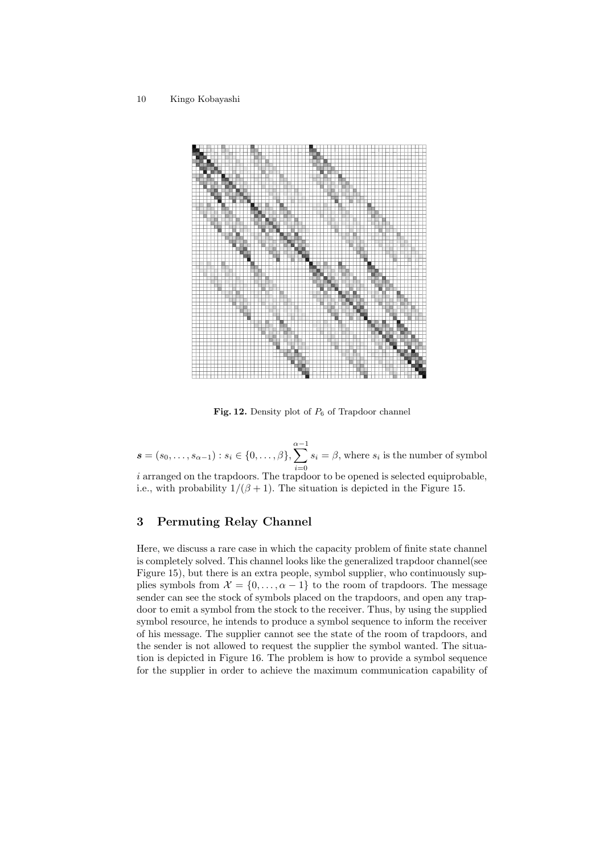

**Fig. 12.** Density plot of  $P_6$  of Trapdoor channel

 $\mathbf{s} = (s_0, \ldots, s_{\alpha-1}) : s_i \in \{0, \ldots, \beta\}, \sum^{\alpha-1}$ *i*=0  $s_i = \beta$ , where  $s_i$  is the number of symbol *i* arranged on the trapdoors. The trapdoor to be opened is selected equiprobable, i.e., with probability  $1/(\beta + 1)$ . The situation is depicted in the Figure 15.

## **3 Permuting Relay Channel**

Here, we discuss a rare case in which the capacity problem of finite state channel is completely solved. This channel looks like the generalized trapdoor channel(see Figure 15), but there is an extra people, symbol supplier, who continuously supplies symbols from  $\mathcal{X} = \{0, \ldots, \alpha - 1\}$  to the room of trapdoors. The message sender can see the stock of symbols placed on the trapdoors, and open any trapdoor to emit a symbol from the stock to the receiver. Thus, by using the supplied symbol resource, he intends to produce a symbol sequence to inform the receiver of his message. The supplier cannot see the state of the room of trapdoors, and the sender is not allowed to request the supplier the symbol wanted. The situation is depicted in Figure 16. The problem is how to provide a symbol sequence for the supplier in order to achieve the maximum communication capability of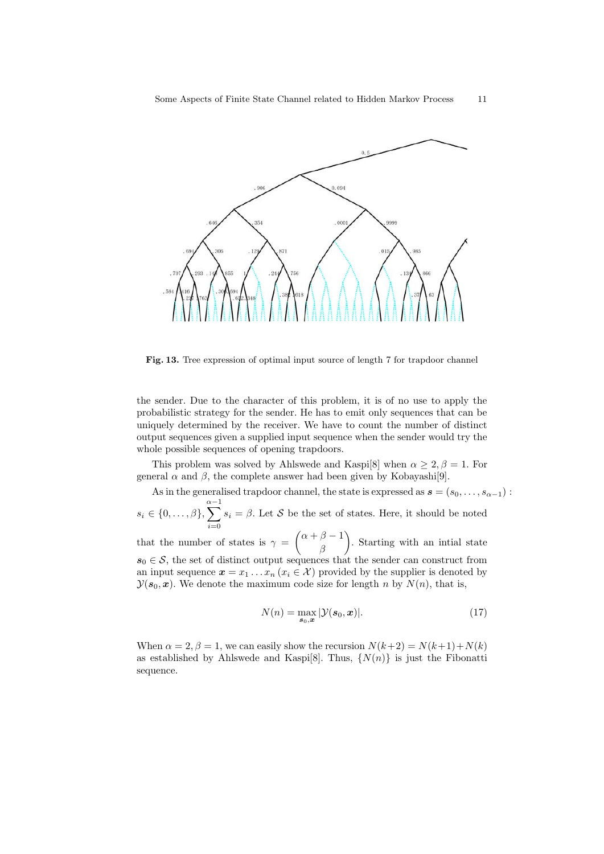

**Fig. 13.** Tree expression of optimal input source of length 7 for trapdoor channel

the sender. Due to the character of this problem, it is of no use to apply the probabilistic strategy for the sender. He has to emit only sequences that can be uniquely determined by the receiver. We have to count the number of distinct output sequences given a supplied input sequence when the sender would try the whole possible sequences of opening trapdoors.

This problem was solved by Ahlswede and Kaspi<sup>[8]</sup> when  $\alpha \geq 2, \beta = 1$ . For general  $\alpha$  and  $\beta$ , the complete answer had been given by Kobayashi<sup>[9]</sup>.

As in the generalised trapdoor channel, the state is expressed as  $\mathbf{s} = (s_0, \ldots, s_{\alpha-1})$ :

 $s_i \in \{0, \ldots, \beta\}, \sum_{i=1}^{\alpha-1}$ *i*=0  $s_i = \beta$ . Let *S* be the set of states. Here, it should be noted  $\alpha + \beta - 1$  $\setminus$ 

that the number of states is  $\gamma =$ *β* . Starting with an intial state  $s_0$  ∈ S, the set of distinct output sequences that the sender can construct from an input sequence  $x = x_1 \dots x_n$  ( $x_i \in \mathcal{X}$ ) provided by the supplier is denoted by  $\mathcal{Y}(\mathbf{s}_0, \mathbf{x})$ . We denote the maximum code size for length *n* by  $N(n)$ , that is,

$$
N(n) = \max_{\mathbf{s}_0, \mathbf{x}} |\mathcal{Y}(\mathbf{s}_0, \mathbf{x})|.
$$
 (17)

When  $\alpha = 2, \beta = 1$ , we can easily show the recursion  $N(k+2) = N(k+1) + N(k)$ as established by Ahlswede and Kaspi<sup>[8]</sup>. Thus,  $\{N(n)\}\$ is just the Fibonatti sequence.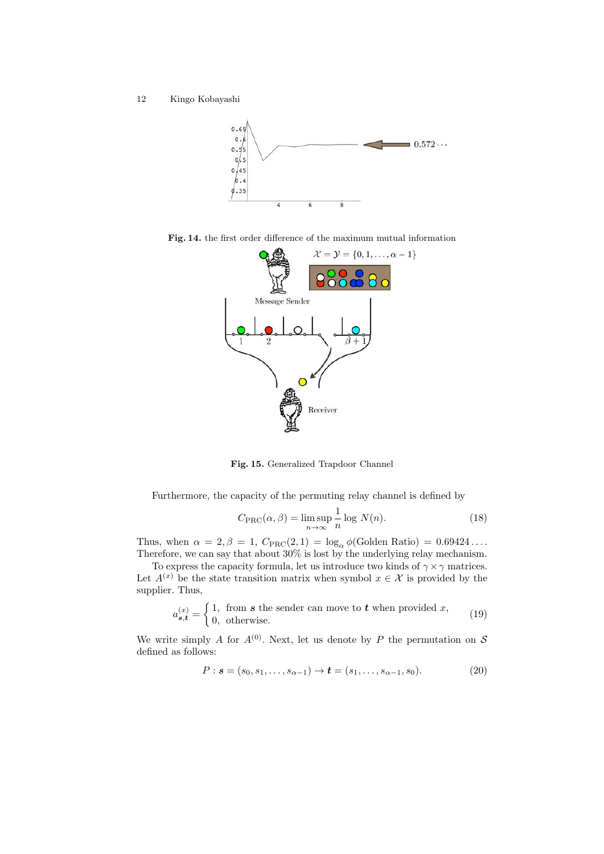12 Kingo Kobayashi



**Fig. 14.** the first order difference of the maximum mutual information



**Fig. 15.** Generalized Trapdoor Channel

Furthermore, the capacity of the permuting relay channel is defined by

$$
C_{\rm PRC}(\alpha, \beta) = \limsup_{n \to \infty} \frac{1}{n} \log N(n). \tag{18}
$$

Thus, when  $\alpha = 2, \beta = 1$ ,  $C_{\text{PRC}}(2, 1) = \log_{\alpha} \phi(\text{Golden Ratio}) = 0.69424 \dots$ Therefore, we can say that about 30% is lost by the underlying relay mechanism.

To express the capacity formula, let us introduce two kinds of  $\gamma \times \gamma$  matrices. Let  $A^{(x)}$  be the state transition matrix when symbol  $x \in \mathcal{X}$  is provided by the supplier. Thus,

$$
a_{\mathbf{s},\mathbf{t}}^{(x)} = \begin{cases} 1, & \text{from } \mathbf{s} \text{ the sender can move to } \mathbf{t} \text{ when provided } x, \\ 0, & \text{otherwise.} \end{cases} \tag{19}
$$

We write simply *A* for  $A^{(0)}$ . Next, let us denote by *P* the permutation on *S* defined as follows:

$$
P: \mathbf{s} = (s_0, s_1, \dots, s_{\alpha - 1}) \to \mathbf{t} = (s_1, \dots, s_{\alpha - 1}, s_0). \tag{20}
$$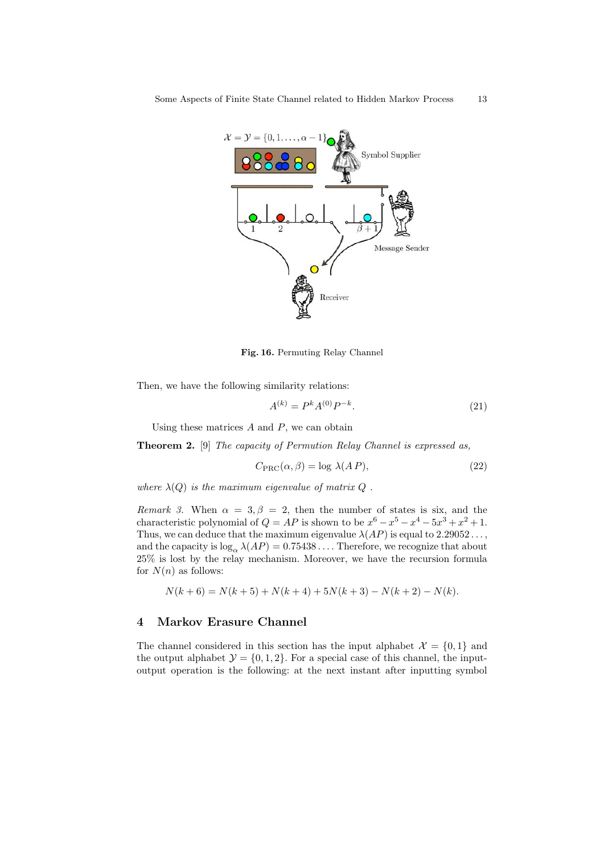

**Fig. 16.** Permuting Relay Channel

Then, we have the following similarity relations:

$$
A^{(k)} = P^k A^{(0)} P^{-k}.
$$
\n(21)

Using these matrices *A* and *P*, we can obtain

**Theorem 2.** [9] *The capacity of Permution Relay Channel is expressed as,*

$$
C_{\rm PRC}(\alpha, \beta) = \log \lambda (AP), \qquad (22)
$$

*where*  $\lambda(Q)$  *is the maximum eigenvalue of matrix*  $Q$ .

*Remark 3.* When  $\alpha = 3, \beta = 2$ , then the number of states is six, and the characteristic polynomial of  $Q = AP$  is shown to be  $x^6 - x^5 - x^4 - 5x^3 + x^2 + 1$ . Thus, we can deduce that the maximum eigenvalue  $\lambda(AP)$  is equal to 2.29052..., and the capacity is  $\log_{\alpha} \lambda(AP) = 0.75438 \dots$  Therefore, we recognize that about 25% is lost by the relay mechanism. Moreover, we have the recursion formula for  $N(n)$  as follows:

$$
N(k+6) = N(k+5) + N(k+4) + 5N(k+3) - N(k+2) - N(k).
$$

## **4 Markov Erasure Channel**

The channel considered in this section has the input alphabet  $\mathcal{X} = \{0, 1\}$  and the output alphabet  $\mathcal{Y} = \{0, 1, 2\}$ . For a special case of this channel, the inputoutput operation is the following: at the next instant after inputting symbol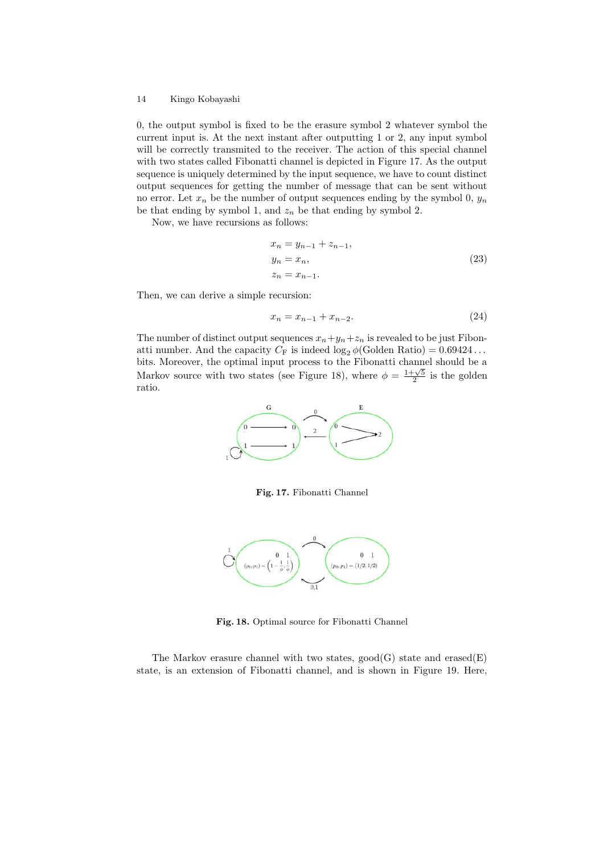0, the output symbol is fixed to be the erasure symbol 2 whatever symbol the current input is. At the next instant after outputting 1 or 2, any input symbol will be correctly transmited to the receiver. The action of this special channel with two states called Fibonatti channel is depicted in Figure 17. As the output sequence is uniquely determined by the input sequence, we have to count distinct output sequences for getting the number of message that can be sent without no error. Let  $x_n$  be the number of output sequences ending by the symbol 0,  $y_n$ be that ending by symbol 1, and  $z_n$  be that ending by symbol 2.

Now, we have recursions as follows:

$$
x_n = y_{n-1} + z_{n-1},
$$
  
\n
$$
y_n = x_n,
$$
  
\n
$$
z_n = x_{n-1}.
$$
\n(23)

Then, we can derive a simple recursion:

$$
x_n = x_{n-1} + x_{n-2}.\tag{24}
$$

The number of distinct output sequences  $x_n + y_n + z_n$  is revealed to be just Fibonatti number. And the capacity  $C_F$  is indeed  $\log_2 \phi$ (Golden Ratio) = 0.69424... bits. Moreover, the optimal input process to the Fibonatti channel should be a Markov source with two states (see Figure 18), where  $\phi = \frac{1+\sqrt{5}}{2}$  is the golden ratio.



**Fig. 17.** Fibonatti Channel



**Fig. 18.** Optimal source for Fibonatti Channel

The Markov erasure channel with two states,  $\text{good}(G)$  state and  $\text{erased}(E)$ state, is an extension of Fibonatti channel, and is shown in Figure 19. Here,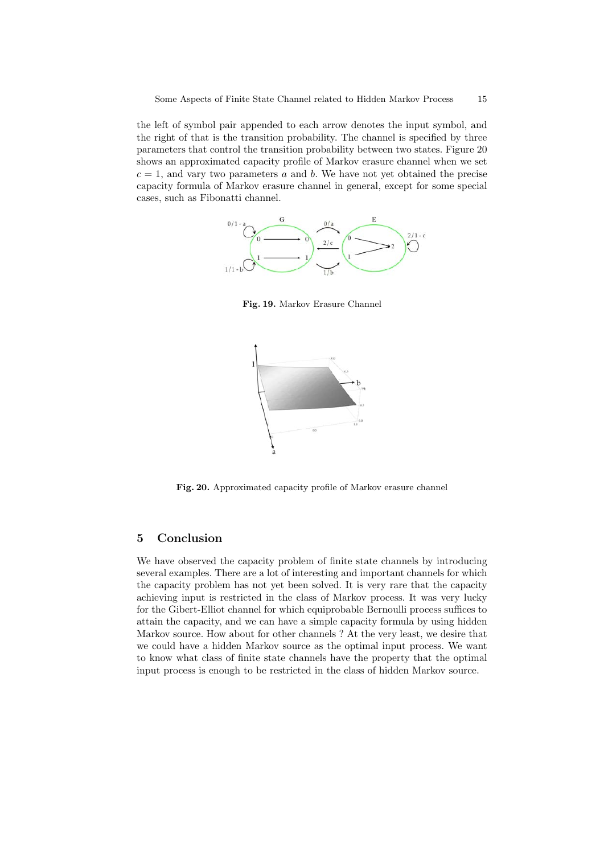the left of symbol pair appended to each arrow denotes the input symbol, and the right of that is the transition probability. The channel is specified by three parameters that control the transition probability between two states. Figure 20 shows an approximated capacity profile of Markov erasure channel when we set  $c = 1$ , and vary two parameters *a* and *b*. We have not yet obtained the precise capacity formula of Markov erasure channel in general, except for some special cases, such as Fibonatti channel.



**Fig. 19.** Markov Erasure Channel



**Fig. 20.** Approximated capacity profile of Markov erasure channel

# **5 Conclusion**

We have observed the capacity problem of finite state channels by introducing several examples. There are a lot of interesting and important channels for which the capacity problem has not yet been solved. It is very rare that the capacity achieving input is restricted in the class of Markov process. It was very lucky for the Gibert-Elliot channel for which equiprobable Bernoulli process suffices to attain the capacity, and we can have a simple capacity formula by using hidden Markov source. How about for other channels ? At the very least, we desire that we could have a hidden Markov source as the optimal input process. We want to know what class of finite state channels have the property that the optimal input process is enough to be restricted in the class of hidden Markov source.